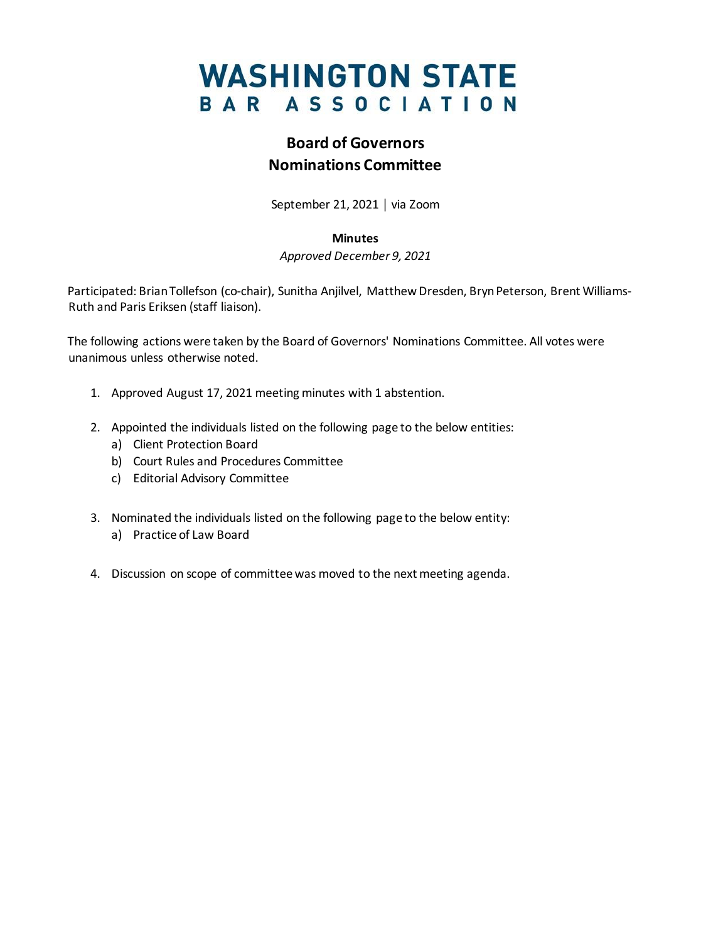# **WASHINGTON STATE** BAR ASSOCIATION

## **Board of Governors Nominations Committee**

September 21, 2021 │ via Zoom

#### **Minutes**

*Approved December 9, 2021*

Participated: Brian Tollefson (co-chair), Sunitha Anjilvel, Matthew Dresden, Bryn Peterson, Brent Williams-Ruth and Paris Eriksen (staff liaison).

The following actions were taken by the Board of Governors' Nominations Committee. All votes were unanimous unless otherwise noted.

- 1. Approved August 17, 2021 meeting minutes with 1 abstention.
- 2. Appointed the individuals listed on the following page to the below entities:
	- a) Client Protection Board
	- b) Court Rules and Procedures Committee
	- c) Editorial Advisory Committee
- 3. Nominated the individuals listed on the following page to the below entity:
	- a) Practice of Law Board
- 4. Discussion on scope of committee was moved to the next meeting agenda.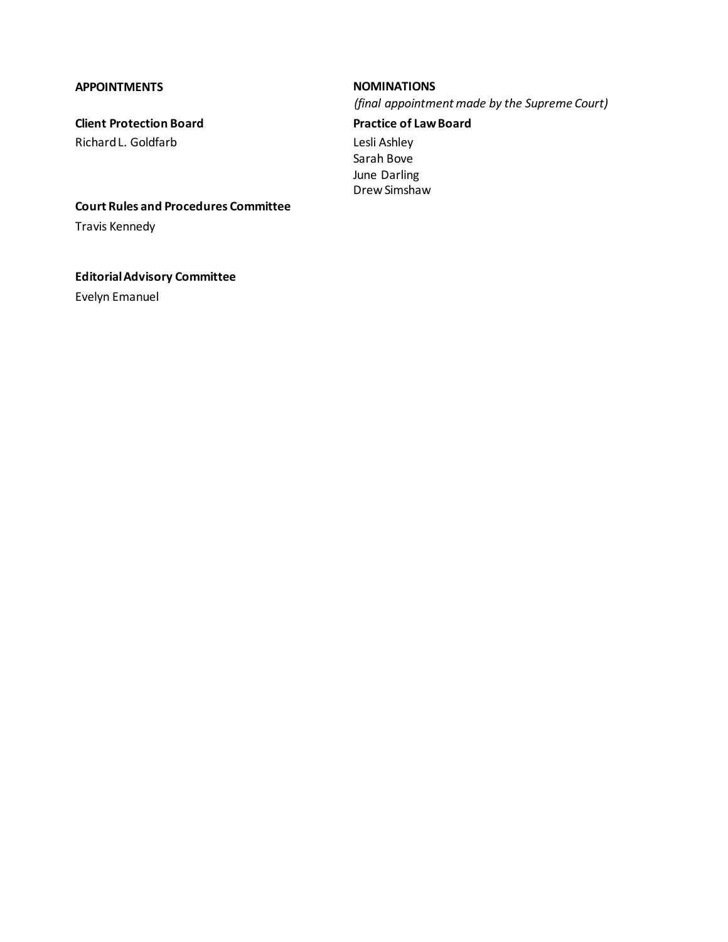### **APPOINTMENTS NOMINATIONS**

**Client Protection Board** Richard L. Goldfarb

*(final appointment made by the Supreme Court)*

### **Practice of Law Board** Lesli Ashley

Sarah Bove June Darling Drew Simshaw

**Court Rules and Procedures Committee**

Travis Kennedy

**Editorial Advisory Committee**

Evelyn Emanuel